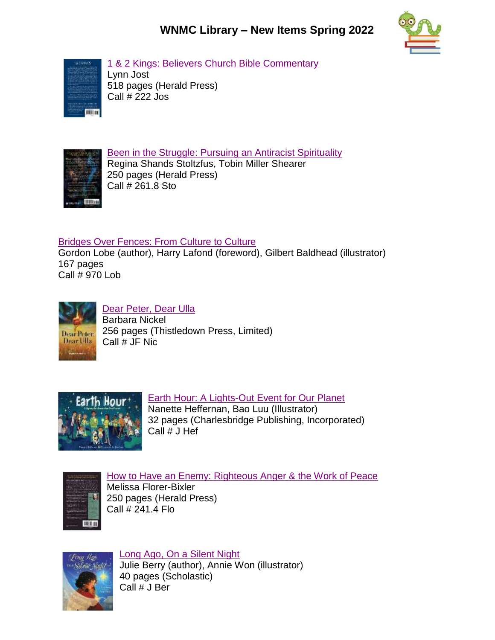## **WNMC Library – New Items Spring 2022**



[1 & 2 Kings: Believers Church Bible Commentary](http://www.libib.com/u/wnmc?solo=94897540) Lynn Jost 518 pages (Herald Press) Call # 222 Jos



[Been in the Struggle: Pursuing an Antiracist Spirituality](http://www.libib.com/u/wnmc?solo=94888099) Regina Shands Stoltzfus, Tobin Miller Shearer 250 pages (Herald Press) Call # 261.8 Sto

## [Bridges Over Fences: From Culture to Culture](http://www.libib.com/u/wnmc?solo=94898178)

Gordon Lobe (author), Harry Lafond (foreword), Gilbert Baldhead (illustrator) 167 pages Call # 970 Lob



## [Dear Peter, Dear Ulla](http://www.libib.com/u/wnmc?solo=96073639)

Barbara Nickel 256 pages (Thistledown Press, Limited) Call # JF Nic



## [Earth Hour: A Lights-Out Event for Our Planet](http://www.libib.com/u/wnmc?solo=90276236)

Nanette Heffernan, Bao Luu (Illustrator) 32 pages (Charlesbridge Publishing, Incorporated) Call # J Hef



[How to Have an Enemy: Righteous Anger & the Work of Peace](http://www.libib.com/u/wnmc?solo=96072418) Melissa Florer-Bixler 250 pages (Herald Press) Call # 241.4 Flo



[Long Ago, On a Silent Night](http://www.libib.com/u/wnmc?solo=94887984) Julie Berry (author), Annie Won (illustrator) 40 pages (Scholastic) Call # J Ber